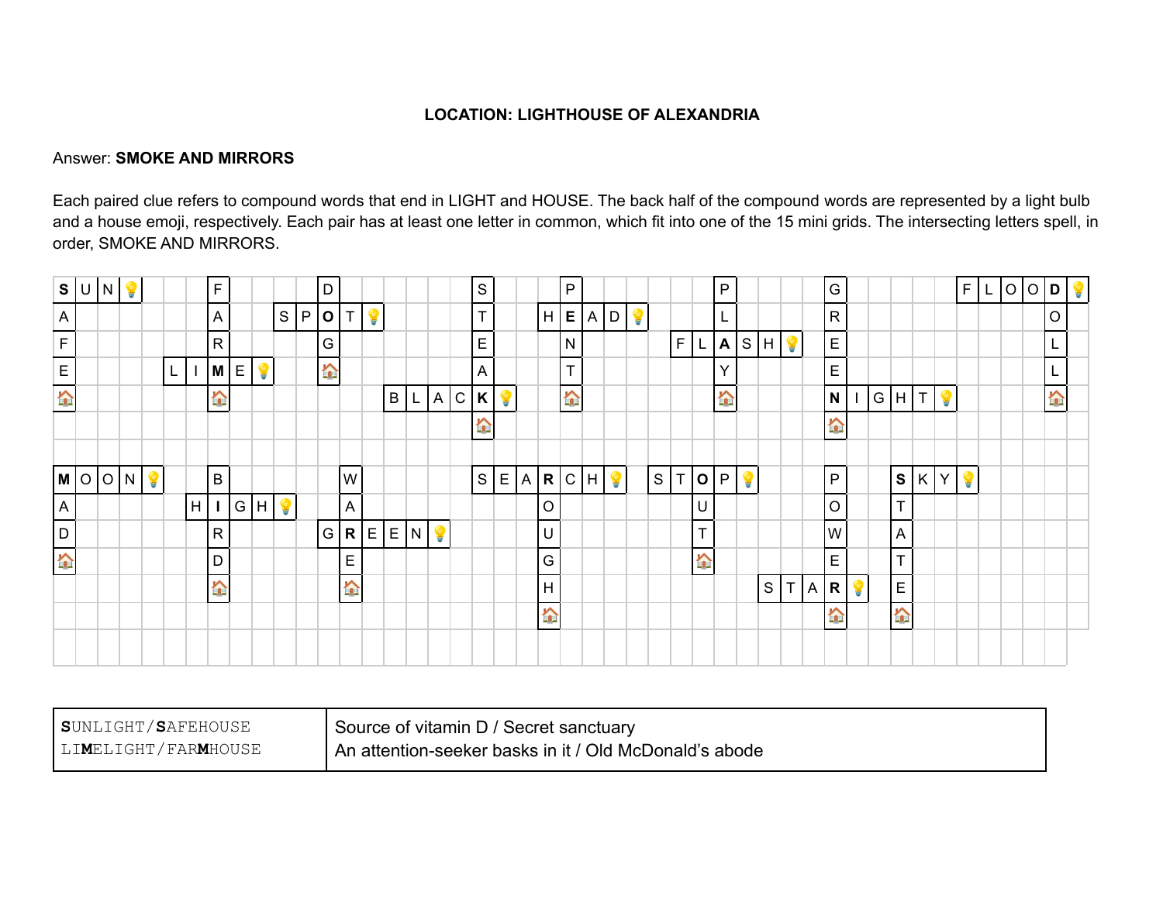## **LOCATION: LIGHTHOUSE OF ALEXANDRIA**

## Answer: **SMOKE AND MIRRORS**

Each paired clue refers to compound words that end in LIGHT and HOUSE. The back half of the compound words are represented by a light bulb and a house emoji, respectively. Each pair has at least one letter in common, which fit into one of the 15 mini grids. The intersecting letters spell, in order, SMOKE AND MIRRORS.

|                  | S U N |         |   |   | $\mathsf F$  |                 |     | D                |                |   |         |    |              |                | $\mathsf S$  |   |          | P           |       |   |              |     |                  | $\mathsf{P}$     |   |      |     | ${\mathsf G}$                                  |   |       |                  |    | F | $\mathsf{L}$ | O O D |                  |  |
|------------------|-------|---------|---|---|--------------|-----------------|-----|------------------|----------------|---|---------|----|--------------|----------------|--------------|---|----------|-------------|-------|---|--------------|-----|------------------|------------------|---|------|-----|------------------------------------------------|---|-------|------------------|----|---|--------------|-------|------------------|--|
| $\overline{A}$   |       |         |   |   | A            |                 | S P | O                | l T            | ¥ |         |    |              |                | $\mathsf{T}$ |   |          | H ∣E ∣      | $A$ D |   |              |     |                  | L                |   |      |     | ${\sf R}$                                      |   |       |                  |    |   |              |       | $\circ$          |  |
| F                |       |         |   |   | $\mathsf{R}$ |                 |     | l G              |                |   |         |    |              |                | $\mathsf E$  |   |          | ${\sf N}$   |       |   |              | F L |                  | $\blacktriangle$ |   | S  H |     | $\boxed{E}$                                    |   |       |                  |    |   |              |       | L                |  |
| $\mathsf E$      |       |         | L |   | $M \in$      | ¥               |     | $\sum_{i=1}^{n}$ |                |   |         |    |              |                | $\mathsf{A}$ |   |          | T           |       |   |              |     |                  | Υ                |   |      |     | $\mathsf{E}% _{0}\left( \mathsf{E}_{0}\right)$ |   |       |                  |    |   |              |       | L                |  |
| h                |       |         |   |   | <b>A</b>     |                 |     |                  |                |   | B       | L. | $\mathsf{A}$ | $\overline{C}$ | $\mathsf{K}$ | ¥ |          | A           |       |   |              |     |                  | <b>A</b>         |   |      |     | N                                              |   | G H T |                  | ¥  |   |              |       | $\sum_{i=1}^{n}$ |  |
|                  |       |         |   |   |              |                 |     |                  |                |   |         |    |              |                | <b>A</b>     |   |          |             |       |   |              |     |                  |                  |   |      |     | <b>A</b>                                       |   |       |                  |    |   |              |       |                  |  |
|                  |       |         |   |   |              |                 |     |                  |                |   |         |    |              |                |              |   |          |             |       |   |              |     |                  |                  |   |      |     |                                                |   |       |                  |    |   |              |       |                  |  |
|                  |       | M O O M |   |   | B            |                 |     |                  | W              |   |         |    |              |                | S E          |   |          | $A$ $R$ $C$ |       | H | $\mathsf{S}$ |     | $T$  O           | $\mathsf{P}$     | ¥ |      |     | P                                              |   |       | $ s $ K $ $      | Y. |   |              |       |                  |  |
| A                |       |         |   | H |              | $I$ $G$ $H$ $Q$ |     |                  | $\overline{A}$ |   |         |    |              |                |              |   | $\circ$  |             |       |   |              |     | ΙU               |                  |   |      |     | $\circ$                                        |   |       | T                |    |   |              |       |                  |  |
| D                |       |         |   |   | $\mathsf{R}$ |                 |     | G.               |                |   | R E E N |    | ¥            |                |              |   | U        |             |       |   |              |     | T                |                  |   |      |     | W                                              |   |       | $\overline{A}$   |    |   |              |       |                  |  |
| $\sum_{i=1}^{n}$ |       |         |   |   | D.           |                 |     |                  | E              |   |         |    |              |                |              |   | G        |             |       |   |              |     | $\sum_{i=1}^{n}$ |                  |   |      |     | $\mathsf E$                                    |   |       | $\mathsf{T}$     |    |   |              |       |                  |  |
|                  |       |         |   |   | <b>A</b>     |                 |     |                  | A              |   |         |    |              |                |              |   | H        |             |       |   |              |     |                  |                  |   | S    | T A | R.                                             | ¥ |       | $\mathsf E$      |    |   |              |       |                  |  |
|                  |       |         |   |   |              |                 |     |                  |                |   |         |    |              |                |              |   | <b>A</b> |             |       |   |              |     |                  |                  |   |      |     | <b>A</b>                                       |   |       | $\sum_{i=1}^{n}$ |    |   |              |       |                  |  |
|                  |       |         |   |   |              |                 |     |                  |                |   |         |    |              |                |              |   |          |             |       |   |              |     |                  |                  |   |      |     |                                                |   |       |                  |    |   |              |       |                  |  |
|                  |       |         |   |   |              |                 |     |                  |                |   |         |    |              |                |              |   |          |             |       |   |              |     |                  |                  |   |      |     |                                                |   |       |                  |    |   |              |       |                  |  |

| SUNLIGHT/SAFEHOUSE  | Source of vitamin D / Secret sanctuary                 |
|---------------------|--------------------------------------------------------|
| LIMELIGHT/FARMHOUSE | An attention-seeker basks in it / Old McDonald's abode |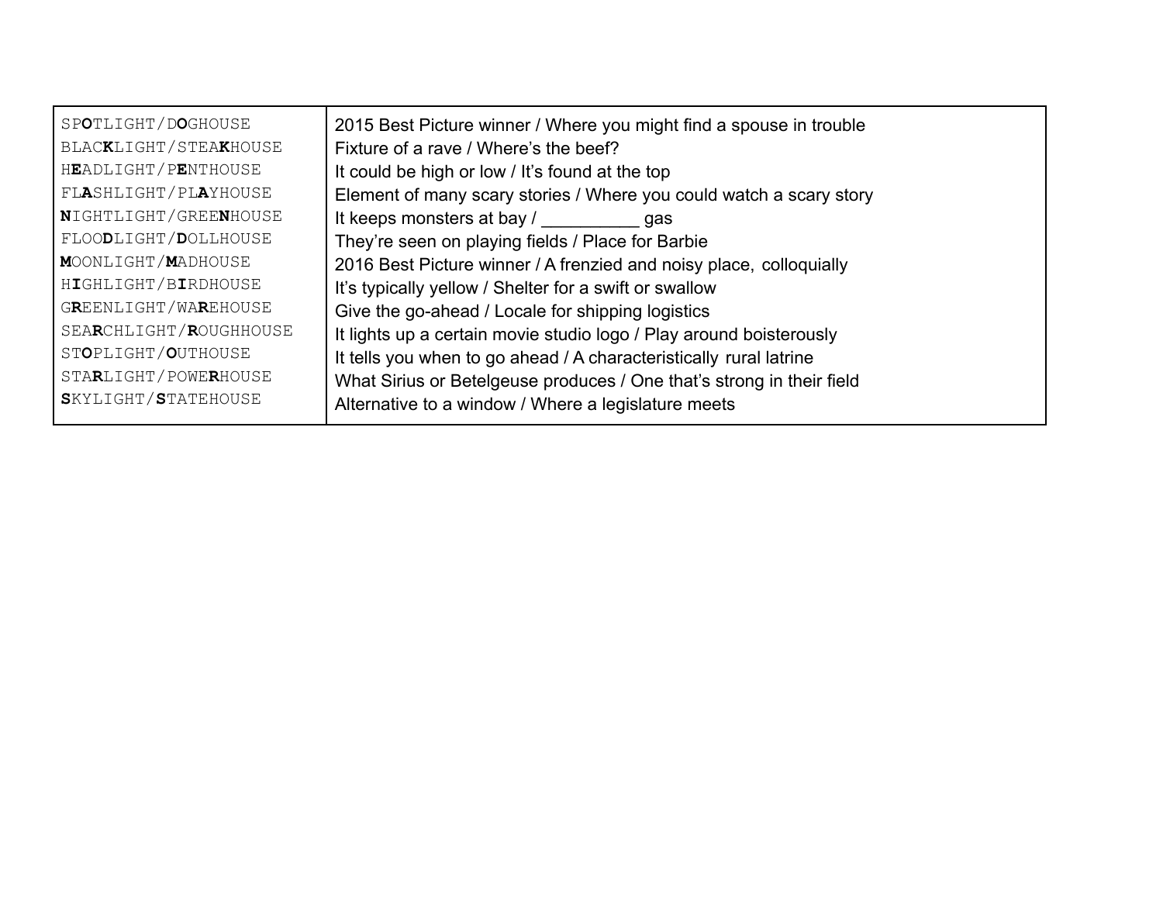| SPOTLIGHT/DOGHOUSE     | 2015 Best Picture winner / Where you might find a spouse in trouble   |
|------------------------|-----------------------------------------------------------------------|
| BLACKLIGHT/STEAKHOUSE  | Fixture of a rave / Where's the beef?                                 |
| HEADLIGHT/PENTHOUSE    | It could be high or low / It's found at the top                       |
| FLASHLIGHT/PLAYHOUSE   | Element of many scary stories / Where you could watch a scary story   |
| NIGHTLIGHT/GREENHOUSE  | It keeps monsters at bay / gas                                        |
| FLOODLIGHT/DOLLHOUSE   | They're seen on playing fields / Place for Barbie                     |
| MOONLIGHT/MADHOUSE     | 2016 Best Picture winner / A frenzied and noisy place, colloquially   |
| HIGHLIGHT/BIRDHOUSE    | It's typically yellow / Shelter for a swift or swallow                |
| GREENLIGHT/WAREHOUSE   | Give the go-ahead / Locale for shipping logistics                     |
| SEARCHLIGHT/ROUGHHOUSE | It lights up a certain movie studio logo / Play around boisterously   |
| STOPLIGHT/OUTHOUSE     | It tells you when to go ahead / A characteristically rural latrine    |
| STARLIGHT/POWERHOUSE   | What Sirius or Betelgeuse produces / One that's strong in their field |
| SKYLIGHT/STATEHOUSE    | Alternative to a window / Where a legislature meets                   |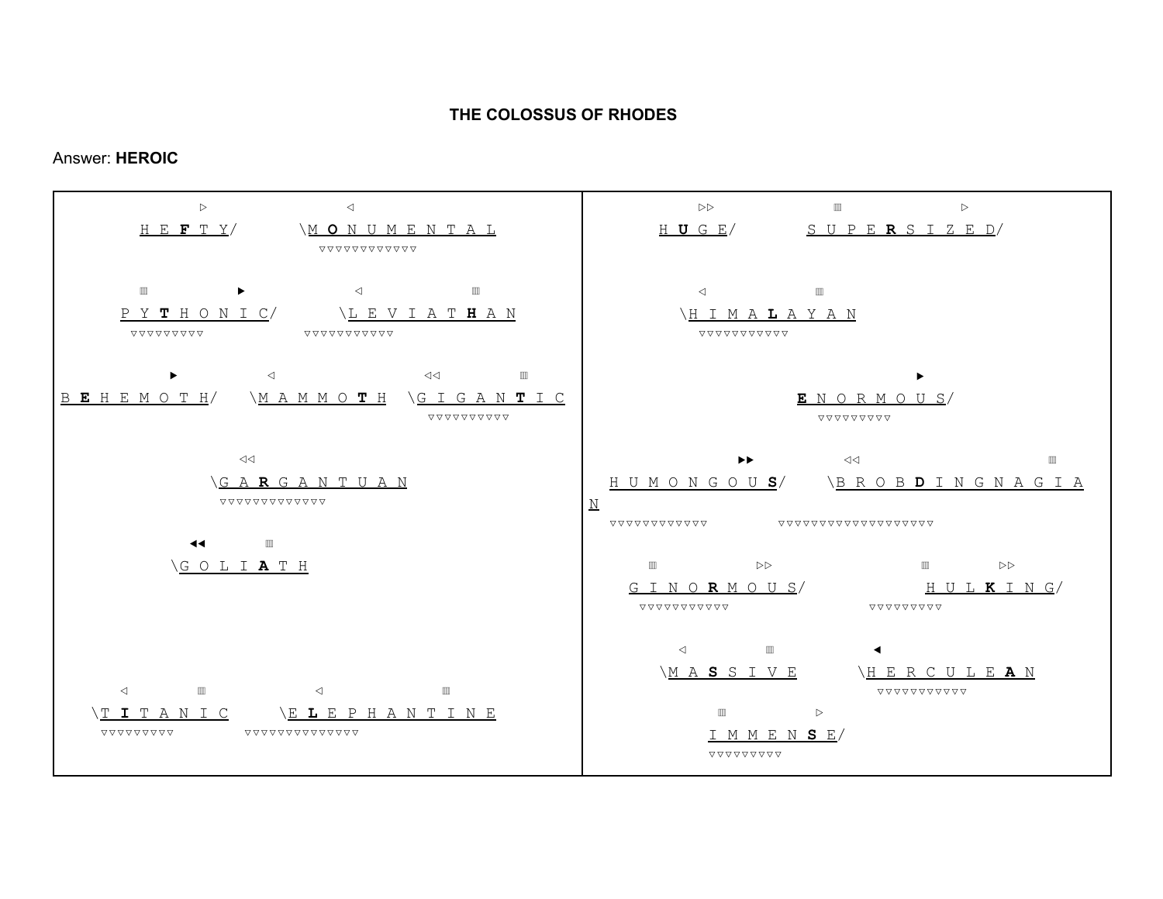## **THE COLOSSUS OF RHODES**

## Answer: **HEROIC**